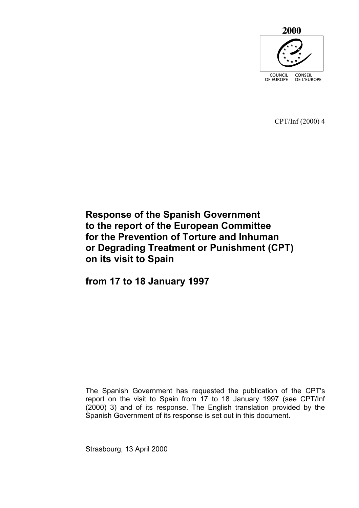

CPT/Inf (2000) 4

# **Response of the Spanish Government to the report of the European Committee for the Prevention of Torture and Inhuman or Degrading Treatment or Punishment (CPT) on its visit to Spain**

**from 17 to 18 January 1997** 

The Spanish Government has requested the publication of the CPT's report on the visit to Spain from 17 to 18 January 1997 (see CPT/Inf (2000) 3) and of its response. The English translation provided by the Spanish Government of its response is set out in this document.

Strasbourg, 13 April 2000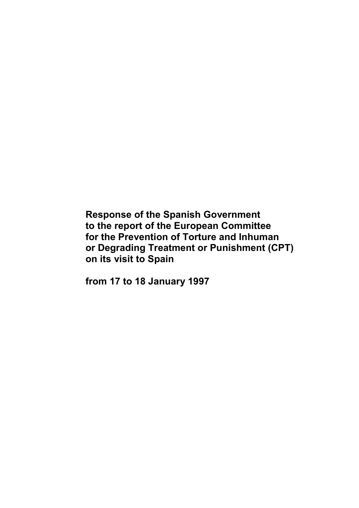**Response of the Spanish Government to the report of the European Committee for the Prevention of Torture and Inhuman or Degrading Treatment or Punishment (CPT) on its visit to Spain** 

**from 17 to 18 January 1997**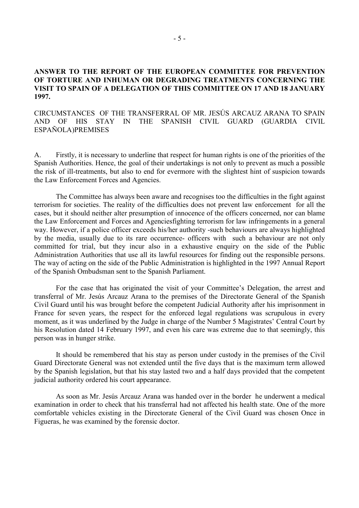# **ANSWER TO THE REPORT OF THE EUROPEAN COMMITTEE FOR PREVENTION OF TORTURE AND INHUMAN OR DEGRADING TREATMENTS CONCERNING THE VISIT TO SPAIN OF A DELEGATION OF THIS COMMITTEE ON 17 AND 18 JANUARY 1997.**

CIRCUMSTANCES OF THE TRANSFERRAL OF MR. JESÚS ARCAUZ ARANA TO SPAIN AND OF HIS STAY IN THE SPANISH CIVIL GUARD (GUARDIA CIVIL ESPAÑOLA)PREMISES

A. Firstly, it is necessary to underline that respect for human rights is one of the priorities of the Spanish Authorities. Hence, the goal of their undertakings is not only to prevent as much a possible the risk of ill-treatments, but also to end for evermore with the slightest hint of suspicion towards the Law Enforcement Forces and Agencies.

 The Committee has always been aware and recognises too the difficulties in the fight against terrorism for societies. The reality of the difficulties does not prevent law enforcement for all the cases, but it should neither alter presumption of innocence of the officers concerned, nor can blame the Law Enforcement and Forces and Agenciesfighting terrorism for law infringements in a general way. However, if a police officer exceeds his/her authority -such behaviours are always highlighted by the media, usually due to its rare occurrence- officers with such a behaviour are not only committed for trial, but they incur also in a exhaustive enquiry on the side of the Public Administration Authorities that use all its lawful resources for finding out the responsible persons. The way of acting on the side of the Public Administration is highlighted in the 1997 Annual Report of the Spanish Ombudsman sent to the Spanish Parliament.

 For the case that has originated the visit of your Committee's Delegation, the arrest and transferral of Mr. Jesús Arcauz Arana to the premises of the Directorate General of the Spanish Civil Guard until his was brought before the competent Judicial Authority after his imprisonment in France for seven years, the respect for the enforced legal regulations was scrupulous in every moment, as it was underlined by the Judge in charge of the Number 5 Magistrates' Central Court by his Resolution dated 14 February 1997, and even his care was extreme due to that seemingly, this person was in hunger strike.

 It should be remembered that his stay as person under custody in the premises of the Civil Guard Directorate General was not extended until the five days that is the maximum term allowed by the Spanish legislation, but that his stay lasted two and a half days provided that the competent judicial authority ordered his court appearance.

 As soon as Mr. Jesús Arcauz Arana was handed over in the border he underwent a medical examination in order to check that his transferral had not affected his health state. One of the more comfortable vehicles existing in the Directorate General of the Civil Guard was chosen Once in Figueras, he was examined by the forensic doctor.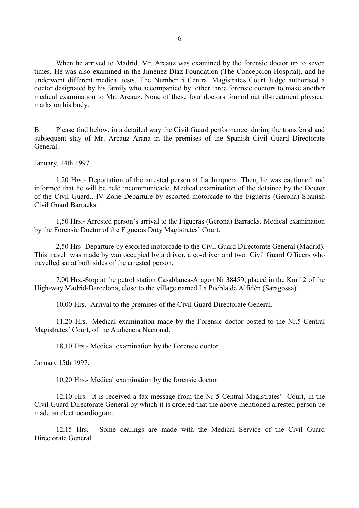When he arrived to Madrid, Mr. Arcauz was examined by the forensic doctor up to seven times. He was also examined in the Jiménez Díaz Foundation (The Concepción Hospital), and he underwent different medical tests. The Number 5 Central Magistrates Court Judge authorised a doctor designated by his family who accompanied by other three forensic doctors to make another medical examination to Mr. Arcauz. None of these four doctors founnd out ill-treatment physical marks on his body.

B. Please find below, in a detailed way the Civil Guard performance during the transferral and subsequent stay of Mr. Arcauz Arana in the premises of the Spanish Civil Guard Directorate General.

January, 14th 1997

1,20 Hrs.- Deportation of the arrested person at La Junquera. Then, he was cautioned and informed that he will be held incommunicado. Medical examination of the detainee by the Doctor of the Civil Guard., IV Zone Departure by escorted motorcade to the Figueras (Gerona) Spanish Civil Guard Barracks.

 1,50 Hrs.- Arrested person's arrival to the Figueras (Gerona) Barracks. Medical examination by the Forensic Doctor of the Figueras Duty Magistrates' Court.

 2,50 Hrs- Departure by escorted motorcade to the Civil Guard Directorate General (Madrid). This travel was made by van occupied by a driver, a co-driver and two Civil Guard Officers who travelled sat at both sides of the arrested person.

 7,00 Hrs.-Stop at the petrol station Casablanca-Aragon Nr 38459, placed in the Km 12 of the High-way Madrid-Barcelona, close to the village named La Puebla de Alfidén (Saragossa).

10,00 Hrs.- Arrival to the premises of the Civil Guard Directorate General.

 11,20 Hrs.- Medical examination made by the Forensic doctor posted to the Nr.5 Central Magistrates' Court, of the Audiencia Nacional.

18,10 Hrs.- Medical examination by the Forensic doctor.

January 15th 1997.

10,20 Hrs.- Medical examination by the forensic doctor

 12,10 Hrs.- It is received a fax message from the Nr 5 Central Magistrates' Court, in the Civil Guard Directorate General by which it is ordered that the above mentioned arrested person be made an electrocardiogram.

 12,15 Hrs. - Some dealings are made with the Medical Service of the Civil Guard Directorate General.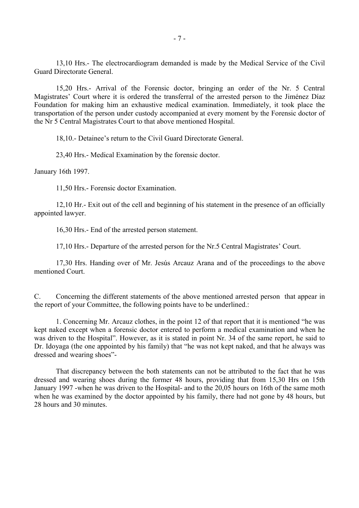13,10 Hrs.- The electrocardiogram demanded is made by the Medical Service of the Civil Guard Directorate General.

 15,20 Hrs.- Arrival of the Forensic doctor, bringing an order of the Nr. 5 Central Magistrates' Court where it is ordered the transferral of the arrested person to the Jiménez Díaz Foundation for making him an exhaustive medical examination. Immediately, it took place the transportation of the person under custody accompanied at every moment by the Forensic doctor of the Nr 5 Central Magistrates Court to that above mentioned Hospital.

18,10.- Detainee's return to the Civil Guard Directorate General.

23,40 Hrs.- Medical Examination by the forensic doctor.

January 16th 1997.

11,50 Hrs.- Forensic doctor Examination.

 12,10 Hr.- Exit out of the cell and beginning of his statement in the presence of an officially appointed lawyer.

16,30 Hrs.- End of the arrested person statement.

17,10 Hrs.- Departure of the arrested person for the Nr.5 Central Magistrates' Court.

 17,30 Hrs. Handing over of Mr. Jesús Arcauz Arana and of the proceedings to the above mentioned Court.

C. Concerning the different statements of the above mentioned arrested person that appear in the report of your Committee, the following points have to be underlined.:

 1. Concerning Mr. Arcauz clothes, in the point 12 of that report that it is mentioned "he was kept naked except when a forensic doctor entered to perform a medical examination and when he was driven to the Hospital". However, as it is stated in point Nr. 34 of the same report, he said to Dr. Idoyaga (the one appointed by his family) that "he was not kept naked, and that he always was dressed and wearing shoes"-

 That discrepancy between the both statements can not be attributed to the fact that he was dressed and wearing shoes during the former 48 hours, providing that from 15,30 Hrs on 15th January 1997 -when he was driven to the Hospital- and to the 20,05 hours on 16th of the same moth when he was examined by the doctor appointed by his family, there had not gone by 48 hours, but 28 hours and 30 minutes.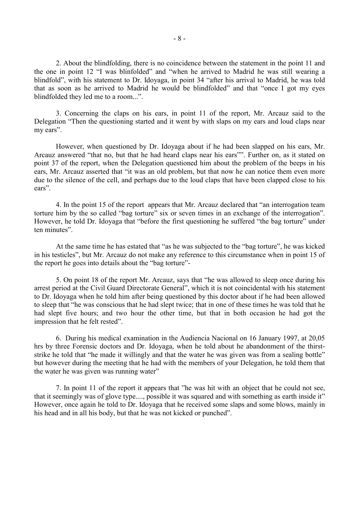2. About the blindfolding, there is no coincidence between the statement in the point 11 and the one in point 12 "I was blinfolded" and "when he arrived to Madrid he was still wearing a blindfold", with his statement to Dr. Idoyaga, in point 34 "after his arrival to Madrid, he was told that as soon as he arrived to Madrid he would be blindfolded" and that "once I got my eyes blindfolded they led me to a room...".

 3. Concerning the claps on his ears, in point 11 of the report, Mr. Arcauz said to the Delegation "Then the questioning started and it went by with slaps on my ears and loud claps near my ears".

 However, when questioned by Dr. Idoyaga about if he had been slapped on his ears, Mr. Arcauz answered "that no, but that he had heard claps near his ears"". Further on, as it stated on point 37 of the report, when the Delegation questioned him about the problem of the beeps in his ears, Mr. Arcauz asserted that "it was an old problem, but that now he can notice them even more due to the silence of the cell, and perhaps due to the loud claps that have been clapped close to his ears".

4. In the point 15 of the report appears that Mr. Arcauz declared that "an interrogation team torture him by the so called "bag torture" six or seven times in an exchange of the interrogation". However, he told Dr. Idoyaga that "before the first questioning he suffered "the bag torture" under ten minutes".

At the same time he has estated that "as he was subjected to the "bag torture", he was kicked in his testicles", but Mr. Arcauz do not make any reference to this circumstance when in point 15 of the report he goes into details about the "bag torture"-

5. On point 18 of the report Mr. Arcauz, says that "he was allowed to sleep once during his arrest period at the Civil Guard Directorate General", which it is not coincidental with his statement to Dr. Idoyaga when he told him after being questioned by this doctor about if he had been allowed to sleep that "he was conscious that he had slept twice; that in one of these times he was told that he had slept five hours; and two hour the other time, but that in both occasion he had got the impression that he felt rested".

6. During his medical examination in the Audiencia Nacional on 16 January 1997, at 20,05 hrs by three Forensic doctors and Dr. Idoyaga, when he told about he abandonment of the thirststrike he told that "he made it willingly and that the water he was given was from a sealing bottle" but however during the meeting that he had with the members of your Delegation, he told them that the water he was given was running water"

7. In point 11 of the report it appears that "he was hit with an object that he could not see, that it seemingly was of glove type...., possible it was squared and with something as earth inside it" However, once again he told to Dr. Idoyaga that he received some slaps and some blows, mainly in his head and in all his body, but that he was not kicked or punched".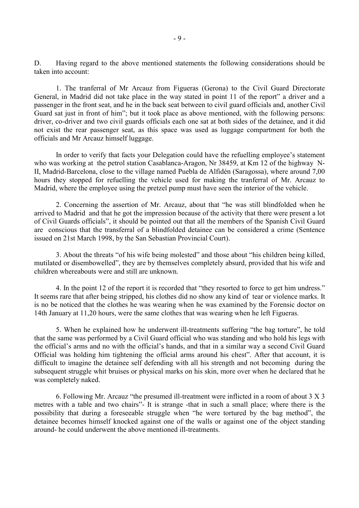D. Having regard to the above mentioned statements the following considerations should be taken into account:

1. The tranferral of Mr Arcauz from Figueras (Gerona) to the Civil Guard Directorate General, in Madrid did not take place in the way stated in point 11 of the report" a driver and a passenger in the front seat, and he in the back seat between to civil guard officials and, another Civil Guard sat just in front of him"; but it took place as above mentioned, with the following persons: driver, co-driver and two civil guards officials each one sat at both sides of the detainee, and it did not exist the rear passenger seat, as this space was used as luggage compartment for both the officials and Mr Arcauz himself luggage.

 In order to verify that facts your Delegation could have the refuelling employee's statement who was working at the petrol station Casablanca-Aragon, Nr 38459, at Km 12 of the highway N-II, Madrid-Barcelona, close to the village named Puebla de Alfidén (Saragossa), where around 7,00 hours they stopped for refuelling the vehicle used for making the tranferral of Mr. Arcauz to Madrid, where the employee using the pretzel pump must have seen the interior of the vehicle.

 2. Concerning the assertion of Mr. Arcauz, about that "he was still blindfolded when he arrived to Madrid and that he got the impression because of the activity that there were present a lot of Civil Guards officials", it should be pointed out that all the members of the Spanish Civil Guard are conscious that the transferral of a blindfolded detainee can be considered a crime (Sentence issued on 21st March 1998, by the San Sebastian Provincial Court).

 3. About the threats "of his wife being molested" and those about "his children being killed, mutilated or disembowelled", they are by themselves completely absurd, provided that his wife and children whereabouts were and still are unknown.

 4. In the point 12 of the report it is recorded that "they resorted to force to get him undress." It seems rare that after being stripped, his clothes did no show any kind of tear or violence marks. It is no be noticed that the clothes he was wearing when he was examined by the Forensic doctor on 14th January at 11,20 hours, were the same clothes that was wearing when he left Figueras.

 5. When he explained how he underwent ill-treatments suffering "the bag torture", he told that the same was performed by a Civil Guard official who was standing and who hold his legs with the official's arms and no with the official's hands, and that in a similar way a second Civil Guard Official was holding him tightening the official arms around his chest". After that account, it is difficult to imagine the detainee self defending with all his strength and not becoming during the subsequent struggle whit bruises or physical marks on his skin, more over when he declared that he was completely naked.

6. Following Mr. Arcauz "the presumed ill-treatment were inflicted in a room of about 3 X 3 metres with a table and two chairs"- It is strange -that in such a small place; where there is the possibility that during a foreseeable struggle when "he were tortured by the bag method", the detainee becomes himself knocked against one of the walls or against one of the object standing around- he could underwent the above mentioned ill-treatments.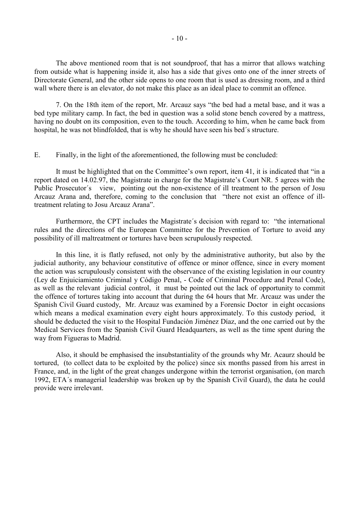The above mentioned room that is not soundproof, that has a mirror that allows watching from outside what is happening inside it, also has a side that gives onto one of the inner streets of Directorate General, and the other side opens to one room that is used as dressing room, and a third wall where there is an elevator, do not make this place as an ideal place to commit an offence.

 7. On the 18th item of the report, Mr. Arcauz says "the bed had a metal base, and it was a bed type military camp. In fact, the bed in question was a solid stone bench covered by a mattress, having no doubt on its composition, even to the touch. According to him, when he came back from hospital, he was not blindfolded, that is why he should have seen his bed´s structure.

## E. Finally, in the light of the aforementioned, the following must be concluded:

 It must be highlighted that on the Committee's own report, item 41, it is indicated that "in a report dated on 14.02.97, the Magistrate in charge for the Magistrate's Court NR. 5 agrees with the Public Prosecutor´s view, pointing out the non-existence of ill treatment to the person of Josu Arcauz Arana and, therefore, coming to the conclusion that "there not exist an offence of illtreatment relating to Josu Arcauz Arana".

 Furthermore, the CPT includes the Magistrate´s decision with regard to: "the international rules and the directions of the European Committee for the Prevention of Torture to avoid any possibility of ill maltreatment or tortures have been scrupulously respected.

 In this line, it is flatly refused, not only by the administrative authority, but also by the judicial authority, any behaviour constitutive of offence or minor offence, since in every moment the action was scrupulously consistent with the observance of the existing legislation in our country (Ley de Enjuiciamiento Criminal y Código Penal, - Code of Criminal Procedure and Penal Code), as well as the relevant judicial control, it must be pointed out the lack of opportunity to commit the offence of tortures taking into account that during the 64 hours that Mr. Arcauz was under the Spanish Civil Guard custody, Mr. Arcauz was examined by a Forensic Doctor in eight occasions which means a medical examination every eight hours approximately. To this custody period, it should be deducted the visit to the Hospital Fundación Jiménez Díaz, and the one carried out by the Medical Services from the Spanish Civil Guard Headquarters, as well as the time spent during the way from Figueras to Madrid.

 Also, it should be emphasised the insubstantiality of the grounds why Mr. Acaurz should be tortured, (to collect data to be exploited by the police) since six months passed from his arrest in France, and, in the light of the great changes undergone within the terrorist organisation, (on march 1992, ETA´s managerial leadership was broken up by the Spanish Civil Guard), the data he could provide were irrelevant.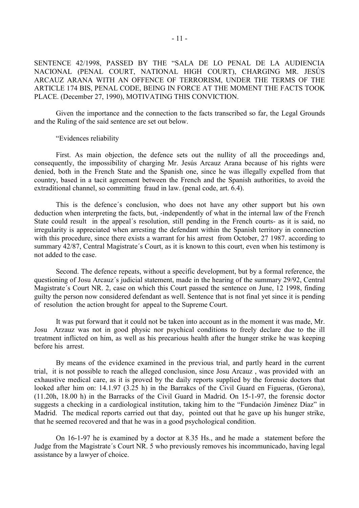SENTENCE 42/1998, PASSED BY THE "SALA DE LO PENAL DE LA AUDIENCIA NACIONAL (PENAL COURT, NATIONAL HIGH COURT), CHARGING MR. JESÚS ARCAUZ ARANA WITH AN OFFENCE OF TERRORISM, UNDER THE TERMS OF THE ARTICLE 174 BIS, PENAL CODE, BEING IN FORCE AT THE MOMENT THE FACTS TOOK PLACE. (December 27, 1990), MOTIVATING THIS CONVICTION.

 Given the importance and the connection to the facts transcribed so far, the Legal Grounds and the Ruling of the said sentence are set out below.

#### "Evidences reliability

 First. As main objection, the defence sets out the nullity of all the proceedings and, consequently, the impossibility of charging Mr. Jesús Arcauz Arana because of his rights were denied, both in the French State and the Spanish one, since he was illegally expelled from that country, based in a tacit agreement between the French and the Spanish authorities, to avoid the extraditional channel, so committing fraud in law. (penal code, art. 6.4).

 This is the defence´s conclusion, who does not have any other support but his own deduction when interpreting the facts, but, -independently of what in the internal law of the French State could result in the appeal's resolution, still pending in the French courts- as it is said, no irregularity is appreciated when arresting the defendant within the Spanish territory in connection with this procedure, since there exists a warrant for his arrest from October, 27 1987. according to summary 42/87, Central Magistrate's Court, as it is known to this court, even when his testimony is not added to the case.

 Second. The defence repeats, without a specific development, but by a formal reference, the questioning of Josu Arcauz´s judicial statement, made in the hearing of the summary 29/92, Central Magistrate´s Court NR. 2, case on which this Court passed the sentence on June, 12 1998, finding guilty the person now considered defendant as well. Sentence that is not final yet since it is pending of resolution the action brought for appeal to the Supreme Court.

 It was put forward that it could not be taken into account as in the moment it was made, Mr. Josu Arzauz was not in good physic nor psychical conditions to freely declare due to the ill treatment inflicted on him, as well as his precarious health after the hunger strike he was keeping before his arrest.

 By means of the evidence examined in the previous trial, and partly heard in the current trial, it is not possible to reach the alleged conclusion, since Josu Arcauz , was provided with an exhaustive medical care, as it is proved by the daily reports supplied by the forensic doctors that looked after him on: 14.1.97 (3.25 h) in the Barrakcs of the Civil Guard en Figueras, (Gerona), (11.20h, 18.00 h) in the Barracks of the Civil Guard in Madrid. On 15-1-97, the forensic doctor suggests a checking in a cardiological institution, taking him to the "Fundación Jiménez Díaz" in Madrid. The medical reports carried out that day, pointed out that he gave up his hunger strike, that he seemed recovered and that he was in a good psychological condition.

 On 16-1-97 he is examined by a doctor at 8.35 Hs., and he made a statement before the Judge from the Magistrate´s Court NR. 5 who previously removes his incommunicado, having legal assistance by a lawyer of choice.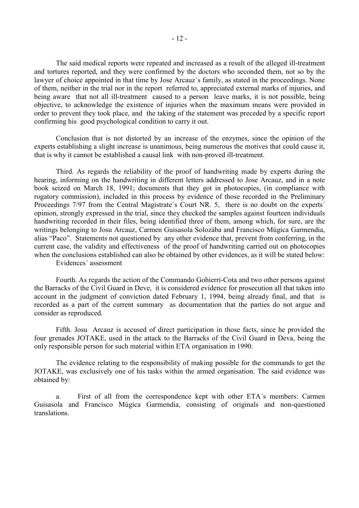The said medical reports were repeated and increased as a result of the alleged ill-treatment and tortures reported, and they were confirmed by the doctors who seconded them, not so by the lawyer of choice appointed in that time by Jose Arcauz´s family, as stated in the proceedings. None of them, neither in the trial nor in the report referred to, appreciated external marks of injuries, and being aware that not all ill-treatment caused to a person leave marks, it is not possible, being objective, to acknowledge the existence of injuries when the maximum means were provided in order to prevent they took place, and the taking of the statement was preceded by a specific report confirming his good psychological condition to carry it out.

 Conclusion that is not distorted by an increase of the enzymes, since the opinion of the experts establishing a slight increase is unanimous, being numerous the motives that could cause it, that is why it cannot be established a causal link with non-proved ill-treatment.

 Third. As regards the reliability of the proof of handwriting made by experts during the hearing, informing on the handwriting in different letters addressed to Jose Arcauz, and in a note book seized on March 18, 1991; documents that they got in photocopies, (in compliance with rogatory commission), included in this process by evidence of those recorded in the Preliminary Proceedings 7/97 from the Central Magistrate's Court NR. 5, there is no doubt on the experts<sup>'</sup> opinion, strongly expressed in the trial, since they checked the samples against fourteen individuals handwriting recorded in their files, being identified three of them, among which, for sure, are the writings belonging to Josu Arcauz, Carmen Guisasola Solozába and Francisco Múgica Garmendia, alias "Paco". Statements not questioned by any other evidence that, prevent from conferring, in the current case, the validity and effectiveness of the proof of handwriting carried out on photocopies when the conclusions established can also be obtained by other evidences, as it will be stated below:

Evidences´ assessment

 Fourth. As regards the action of the Commando Gohierri-Cota and two other persons against the Barracks of the Civil Guard in Deve, it is considered evidence for prosecution all that taken into account in the judgment of conviction dated February 1, 1994, being already final, and that is recorded as a part of the current summary as documentation that the parties do not argue and consider as reproduced.

 Fifth. Josu Arcauz is accused of direct participation in those facts, since he provided the four grenades JOTAKE, used in the attack to the Barracks of the Civil Guard in Deva, being the only responsible person for such material within ETA organisation in 1990.

 The evidence relating to the responsibility of making possible for the commands to get the JOTAKE, was exclusively one of his tasks within the armed organisation. The said evidence was obtained by:

 a. First of all from the correspondence kept with other ETA´s members: Carmen Guisasola and Francisco Múgica Garmendia, consisting of originals and non-questioned translations.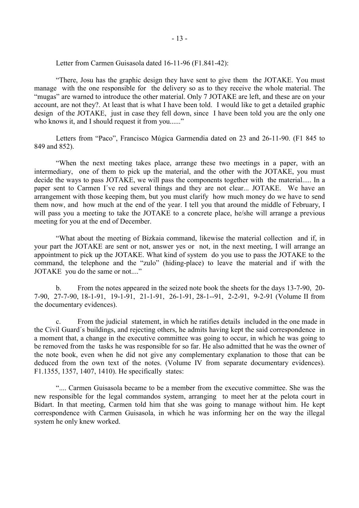Letter from Carmen Guisasola dated 16-11-96 (F1.841-42):

 "There, Josu has the graphic design they have sent to give them the JOTAKE. You must manage with the one responsible for the delivery so as to they receive the whole material. The "mugas" are warned to introduce the other material. Only 7 JOTAKE are left, and these are on your account, are not they?. At least that is what I have been told. I would like to get a detailed graphic design of the JOTAKE, just in case they fell down, since I have been told you are the only one who knows it, and I should request it from you......"

 Letters from "Paco", Francisco Múgica Garmendia dated on 23 and 26-11-90. (F1 845 to 849 and 852).

 "When the next meeting takes place, arrange these two meetings in a paper, with an intermediary, one of them to pick up the material, and the other with the JOTAKE, you must decide the ways to pass JOTAKE, we will pass the components together with the material..... In a paper sent to Carmen I´ve red several things and they are not clear... JOTAKE. We have an arrangement with those keeping them, but you must clarify how much money do we have to send them now, and how much at the end of the year. I tell you that around the middle of February, I will pass you a meeting to take the JOTAKE to a concrete place, he/she will arrange a previous meeting for you at the end of December.

 "What about the meeting of Bizkaia command, likewise the material collection and if, in your part the JOTAKE are sent or not, answer yes or not, in the next meeting, I will arrange an appointment to pick up the JOTAKE. What kind of system do you use to pass the JOTAKE to the command, the telephone and the "zulo" (hiding-place) to leave the material and if with the JOTAKE you do the same or not...."

 b. From the notes appeared in the seized note book the sheets for the days 13-7-90, 20- 7-90, 27-7-90, 18-1-91, 19-1-91, 21-1-91, 26-1-91, 28-1--91, 2-2-91, 9-2-91 (Volume II from the documentary evidences).

 c. From the judicial statement, in which he ratifies details included in the one made in the Civil Guard´s buildings, and rejecting others, he admits having kept the said correspondence in a moment that, a change in the executive committee was going to occur, in which he was going to be removed from the tasks he was responsible for so far. He also admitted that he was the owner of the note book, even when he did not give any complementary explanation to those that can be deduced from the own text of the notes. (Volume IV from separate documentary evidences). F1.1355, 1357, 1407, 1410). He specifically states:

 ".... Carmen Guisasola became to be a member from the executive committee. She was the new responsible for the legal commandos system, arranging to meet her at the pelota court in Bidart. In that meeting, Carmen told him that she was going to manage without him. He kept correspondence with Carmen Guisasola, in which he was informing her on the way the illegal system he only knew worked.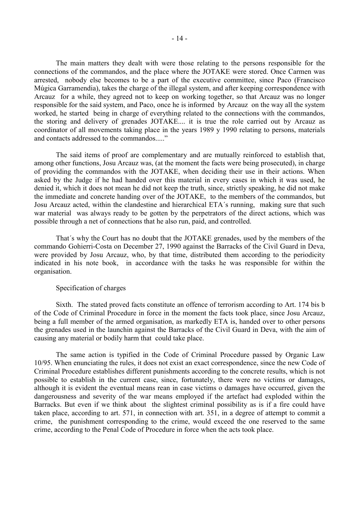The main matters they dealt with were those relating to the persons responsible for the connections of the commandos, and the place where the JOTAKE were stored. Once Carmen was arrested, nobody else becomes to be a part of the executive committee, since Paco (Francisco Múgica Garramendia), takes the charge of the illegal system, and after keeping correspondence with Arcauz for a while, they agreed not to keep on working together, so that Arcauz was no longer responsible for the said system, and Paco, once he is informed by Arcauz on the way all the system worked, he started being in charge of everything related to the connections with the commandos, the storing and delivery of grenades JOTAKE.... it is true the role carried out by Arcauz as coordinator of all movements taking place in the years 1989 y 1990 relating to persons, materials and contacts addressed to the commandos....."

 The said items of proof are complementary and are mutually reinforced to establish that, among other functions, Josu Arcauz was, (at the moment the facts were being prosecuted), in charge of providing the commandos with the JOTAKE, when deciding their use in their actions. When asked by the Judge if he had handed over this material in every cases in which it was used, he denied it, which it does not mean he did not keep the truth, since, strictly speaking, he did not make the immediate and concrete handing over of the JOTAKE, to the members of the commandos, but Josu Arcauz acted, within the clandestine and hierarchical ETA´s running, making sure that such war material was always ready to be gotten by the perpetrators of the direct actions, which was possible through a net of connections that he also run, paid, and controlled.

 That´s why the Court has no doubt that the JOTAKE grenades, used by the members of the commando Gohierri-Costa on December 27, 1990 against the Barracks of the Civil Guard in Deva, were provided by Josu Arcauz, who, by that time, distributed them according to the periodicity indicated in his note book, in accordance with the tasks he was responsible for within the organisation.

#### Specification of charges

 Sixth. The stated proved facts constitute an offence of terrorism according to Art. 174 bis b of the Code of Criminal Procedure in force in the moment the facts took place, since Josu Arcauz, being a full member of the armed organisation, as markedly ETA is, handed over to other persons the grenades used in the launchin against the Barracks of the Civil Guard in Deva, with the aim of causing any material or bodily harm that could take place.

 The same action is typified in the Code of Criminal Procedure passed by Organic Law 10/95. When enunciating the rules, it does not exist an exact correspondence, since the new Code of Criminal Procedure establishes different punishments according to the concrete results, which is not possible to establish in the current case, since, fortunately, there were no victims or damages, although it is evident the eventual means rean in case victims o damages have occurred, given the dangerousness and severity of the war means employed if the artefact had exploded within the Barracks. But even if we think about the slightest criminal possibility as is if a fire could have taken place, according to art. 571, in connection with art. 351, in a degree of attempt to commit a crime, the punishment corresponding to the crime, would exceed the one reserved to the same crime, according to the Penal Code of Procedure in force when the acts took place.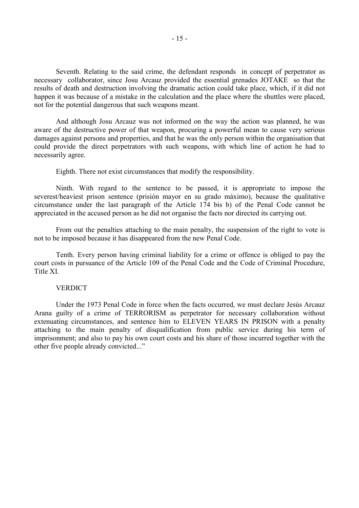Seventh. Relating to the said crime, the defendant responds in concept of perpetrator as necessary collaborator, since Josu Arcauz provided the essential grenades JOTAKE so that the results of death and destruction involving the dramatic action could take place, which, if it did not happen it was because of a mistake in the calculation and the place where the shuttles were placed, not for the potential dangerous that such weapons meant.

 And although Josu Arcauz was not informed on the way the action was planned, he was aware of the destructive power of that weapon, procuring a powerful mean to cause very serious damages against persons and properties, and that he was the only person within the organisation that could provide the direct perpetrators with such weapons, with which line of action he had to necessarily agree.

Eighth. There not exist circumstances that modify the responsibility.

 Ninth. With regard to the sentence to be passed, it is appropriate to impose the severest/heaviest prison sentence (prisión mayor en su grado máximo), because the qualitative circumstance under the last paragraph of the Article 174 bis b) of the Penal Code cannot be appreciated in the accused person as he did not organise the facts nor directed its carrying out.

 From out the penalties attaching to the main penalty, the suspension of the right to vote is not to be imposed because it has disappeared from the new Penal Code.

 Tenth. Every person having criminal liability for a crime or offence is obliged to pay the court costs in pursuance of the Article 109 of the Penal Code and the Code of Criminal Procedure, Title XI.

#### **VERDICT**

 Under the 1973 Penal Code in force when the facts occurred, we must declare Jesús Arcauz Arana guilty of a crime of TERRORISM as perpetrator for necessary collaboration without extenuating circumstances, and sentence him to ELEVEN YEARS IN PRISON with a penalty attaching to the main penalty of disqualification from public service during his term of imprisonment; and also to pay his own court costs and his share of those incurred together with the other five people already convicted..."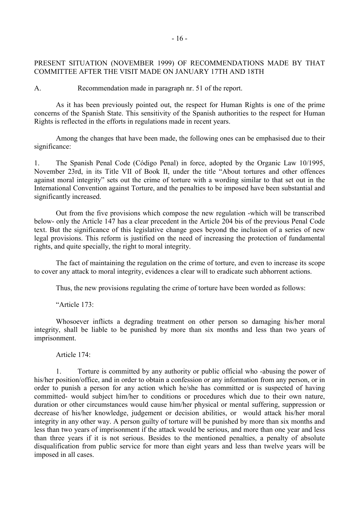# PRESENT SITUATION (NOVEMBER 1999) OF RECOMMENDATIONS MADE BY THAT COMMITTEE AFTER THE VISIT MADE ON JANUARY 17TH AND 18TH

A. Recommendation made in paragraph nr. 51 of the report.

 As it has been previously pointed out, the respect for Human Rights is one of the prime concerns of the Spanish State. This sensitivity of the Spanish authorities to the respect for Human Rights is reflected in the efforts in regulations made in recent years.

 Among the changes that have been made, the following ones can be emphasised due to their significance:

1. The Spanish Penal Code (Código Penal) in force, adopted by the Organic Law 10/1995, November 23rd, in its Title VII of Book II, under the title "About tortures and other offences against moral integrity" sets out the crime of torture with a wording similar to that set out in the International Convention against Torture, and the penalties to be imposed have been substantial and significantly increased.

 Out from the five provisions which compose the new regulation -which will be transcribed below- only the Article 147 has a clear precedent in the Article 204 bis of the previous Penal Code text. But the significance of this legislative change goes beyond the inclusion of a series of new legal provisions. This reform is justified on the need of increasing the protection of fundamental rights, and quite specially, the right to moral integrity.

 The fact of maintaining the regulation on the crime of torture, and even to increase its scope to cover any attack to moral integrity, evidences a clear will to eradicate such abhorrent actions.

Thus, the new provisions regulating the crime of torture have been worded as follows:

"Article 173:

 Whosoever inflicts a degrading treatment on other person so damaging his/her moral integrity, shall be liable to be punished by more than six months and less than two years of imprisonment.

Article 174:

 1. Torture is committed by any authority or public official who -abusing the power of his/her position/office, and in order to obtain a confession or any information from any person, or in order to punish a person for any action which he/she has committed or is suspected of having committed- would subject him/her to conditions or procedures which due to their own nature, duration or other circumstances would cause him/her physical or mental suffering, suppression or decrease of his/her knowledge, judgement or decision abilities, or would attack his/her moral integrity in any other way. A person guilty of torture will be punished by more than six months and less than two years of imprisonment if the attack would be serious, and more than one year and less than three years if it is not serious. Besides to the mentioned penalties, a penalty of absolute disqualification from public service for more than eight years and less than twelve years will be imposed in all cases.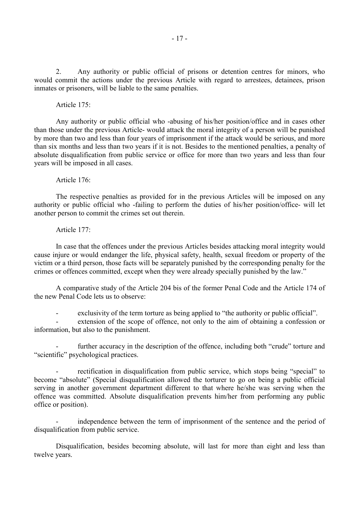2. Any authority or public official of prisons or detention centres for minors, who would commit the actions under the previous Article with regard to arrestees, detainees, prison inmates or prisoners, will be liable to the same penalties.

Article 175:

 Any authority or public official who -abusing of his/her position/office and in cases other than those under the previous Article- would attack the moral integrity of a person will be punished by more than two and less than four years of imprisonment if the attack would be serious, and more than six months and less than two years if it is not. Besides to the mentioned penalties, a penalty of absolute disqualification from public service or office for more than two years and less than four years will be imposed in all cases.

Article 176:

 The respective penalties as provided for in the previous Articles will be imposed on any authority or public official who -failing to perform the duties of his/her position/office- will let another person to commit the crimes set out therein.

Article 177:

 In case that the offences under the previous Articles besides attacking moral integrity would cause injure or would endanger the life, physical safety, health, sexual freedom or property of the victim or a third person, those facts will be separately punished by the corresponding penalty for the crimes or offences committed, except when they were already specially punished by the law."

 A comparative study of the Article 204 bis of the former Penal Code and the Article 174 of the new Penal Code lets us to observe:

- exclusivity of the term torture as being applied to "the authority or public official".

extension of the scope of offence, not only to the aim of obtaining a confession or information, but also to the punishment.

further accuracy in the description of the offence, including both "crude" torture and "scientific" psychological practices.

rectification in disqualification from public service, which stops being "special" to become "absolute" (Special disqualification allowed the torturer to go on being a public official serving in another government department different to that where he/she was serving when the offence was committed. Absolute disqualification prevents him/her from performing any public office or position).

independence between the term of imprisonment of the sentence and the period of disqualification from public service.

 Disqualification, besides becoming absolute, will last for more than eight and less than twelve years.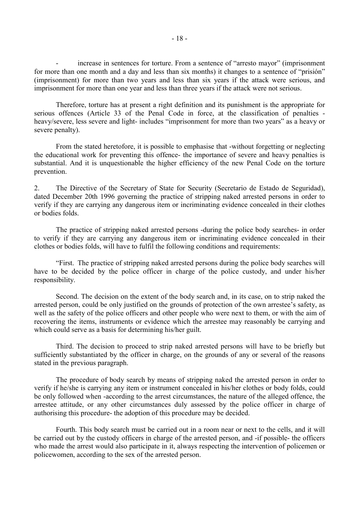increase in sentences for torture. From a sentence of "arresto mayor" (imprisonment for more than one month and a day and less than six months) it changes to a sentence of "prisión" (imprisonment) for more than two years and less than six years if the attack were serious, and imprisonment for more than one year and less than three years if the attack were not serious.

 Therefore, torture has at present a right definition and its punishment is the appropriate for serious offences (Article 33 of the Penal Code in force, at the classification of penalties heavy/severe, less severe and light- includes "imprisonment for more than two years" as a heavy or severe penalty).

 From the stated heretofore, it is possible to emphasise that -without forgetting or neglecting the educational work for preventing this offence- the importance of severe and heavy penalties is substantial. And it is unquestionable the higher efficiency of the new Penal Code on the torture prevention.

2. The Directive of the Secretary of State for Security (Secretario de Estado de Seguridad), dated December 20th 1996 governing the practice of stripping naked arrested persons in order to verify if they are carrying any dangerous item or incriminating evidence concealed in their clothes or bodies folds.

 The practice of stripping naked arrested persons -during the police body searches- in order to verify if they are carrying any dangerous item or incriminating evidence concealed in their clothes or bodies folds, will have to fulfil the following conditions and requirements:

 "First. The practice of stripping naked arrested persons during the police body searches will have to be decided by the police officer in charge of the police custody, and under his/her responsibility.

 Second. The decision on the extent of the body search and, in its case, on to strip naked the arrested person, could be only justified on the grounds of protection of the own arrestee's safety, as well as the safety of the police officers and other people who were next to them, or with the aim of recovering the items, instruments or evidence which the arrestee may reasonably be carrying and which could serve as a basis for determining his/her guilt.

 Third. The decision to proceed to strip naked arrested persons will have to be briefly but sufficiently substantiated by the officer in charge, on the grounds of any or several of the reasons stated in the previous paragraph.

 The procedure of body search by means of stripping naked the arrested person in order to verify if he/she is carrying any item or instrument concealed in his/her clothes or body folds, could be only followed when -according to the arrest circumstances, the nature of the alleged offence, the arrestee attitude, or any other circumstances duly assessed by the police officer in charge of authorising this procedure- the adoption of this procedure may be decided.

 Fourth. This body search must be carried out in a room near or next to the cells, and it will be carried out by the custody officers in charge of the arrested person, and -if possible- the officers who made the arrest would also participate in it, always respecting the intervention of policemen or policewomen, according to the sex of the arrested person.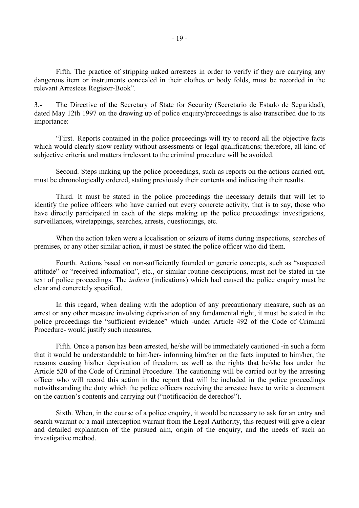Fifth. The practice of stripping naked arrestees in order to verify if they are carrying any dangerous item or instruments concealed in their clothes or body folds, must be recorded in the relevant Arrestees Register-Book".

3.- The Directive of the Secretary of State for Security (Secretario de Estado de Seguridad), dated May 12th 1997 on the drawing up of police enquiry/proceedings is also transcribed due to its importance:

 "First. Reports contained in the police proceedings will try to record all the objective facts which would clearly show reality without assessments or legal qualifications; therefore, all kind of subjective criteria and matters irrelevant to the criminal procedure will be avoided.

 Second. Steps making up the police proceedings, such as reports on the actions carried out, must be chronologically ordered, stating previously their contents and indicating their results.

 Third. It must be stated in the police proceedings the necessary details that will let to identify the police officers who have carried out every concrete activity, that is to say, those who have directly participated in each of the steps making up the police proceedings: investigations, surveillances, wiretappings, searches, arrests, questionings, etc.

 When the action taken were a localisation or seizure of items during inspections, searches of premises, or any other similar action, it must be stated the police officer who did them.

 Fourth. Actions based on non-sufficiently founded or generic concepts, such as "suspected attitude" or "received information", etc., or similar routine descriptions, must not be stated in the text of police proceedings. The *indicia* (indications) which had caused the police enquiry must be clear and concretely specified.

 In this regard, when dealing with the adoption of any precautionary measure, such as an arrest or any other measure involving deprivation of any fundamental right, it must be stated in the police proceedings the "sufficient evidence" which -under Article 492 of the Code of Criminal Procedure- would justify such measures,

 Fifth. Once a person has been arrested, he/she will be immediately cautioned -in such a form that it would be understandable to him/her- informing him/her on the facts imputed to him/her, the reasons causing his/her deprivation of freedom, as well as the rights that he/she has under the Article 520 of the Code of Criminal Procedure. The cautioning will be carried out by the arresting officer who will record this action in the report that will be included in the police proceedings notwithstanding the duty which the police officers receiving the arrestee have to write a document on the caution's contents and carrying out ("notificación de derechos").

 Sixth. When, in the course of a police enquiry, it would be necessary to ask for an entry and search warrant or a mail interception warrant from the Legal Authority, this request will give a clear and detailed explanation of the pursued aim, origin of the enquiry, and the needs of such an investigative method.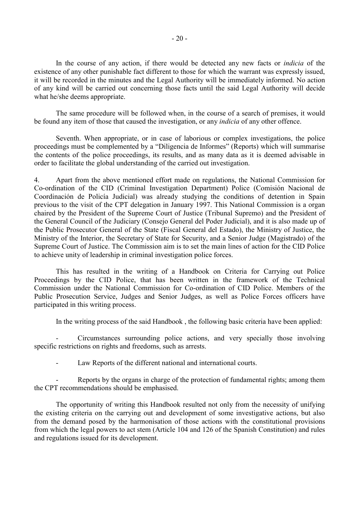In the course of any action, if there would be detected any new facts or *indicia* of the existence of any other punishable fact different to those for which the warrant was expressly issued, it will be recorded in the minutes and the Legal Authority will be immediately informed. No action of any kind will be carried out concerning those facts until the said Legal Authority will decide what he/she deems appropriate.

 The same procedure will be followed when, in the course of a search of premises, it would be found any item of those that caused the investigation, or any *indicia* of any other offence.

 Seventh. When appropriate, or in case of laborious or complex investigations, the police proceedings must be complemented by a "Diligencia de Informes" (Reports) which will summarise the contents of the police proceedings, its results, and as many data as it is deemed advisable in order to facilitate the global understanding of the carried out investigation.

4. Apart from the above mentioned effort made on regulations, the National Commission for Co-ordination of the CID (Criminal Investigation Department) Police (Comisión Nacional de Coordinación de Policía Judicial) was already studying the conditions of detention in Spain previous to the visit of the CPT delegation in January 1997. This National Commission is a organ chaired by the President of the Supreme Court of Justice (Tribunal Supremo) and the President of the General Council of the Judiciary (Consejo General del Poder Judicial), and it is also made up of the Public Prosecutor General of the State (Fiscal General del Estado), the Ministry of Justice, the Ministry of the Interior, the Secretary of State for Security, and a Senior Judge (Magistrado) of the Supreme Court of Justice. The Commission aim is to set the main lines of action for the CID Police to achieve unity of leadership in criminal investigation police forces.

 This has resulted in the writing of a Handbook on Criteria for Carrying out Police Proceedings by the CID Police, that has been written in the framework of the Technical Commission under the National Commission for Co-ordination of CID Police. Members of the Public Prosecution Service, Judges and Senior Judges, as well as Police Forces officers have participated in this writing process.

In the writing process of the said Handbook , the following basic criteria have been applied:

 - Circumstances surrounding police actions, and very specially those involving specific restrictions on rights and freedoms, such as arrests.

Law Reports of the different national and international courts.

Reports by the organs in charge of the protection of fundamental rights; among them the CPT recommendations should be emphasised.

 The opportunity of writing this Handbook resulted not only from the necessity of unifying the existing criteria on the carrying out and development of some investigative actions, but also from the demand posed by the harmonisation of those actions with the constitutional provisions from which the legal powers to act stem (Article 104 and 126 of the Spanish Constitution) and rules and regulations issued for its development.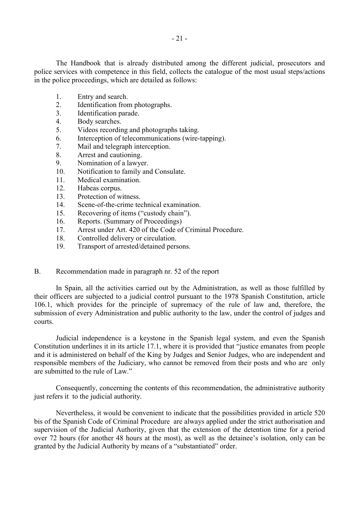The Handbook that is already distributed among the different judicial, prosecutors and police services with competence in this field, collects the catalogue of the most usual steps/actions in the police proceedings, which are detailed as follows:

- 1. Entry and search.
- 2. Identification from photographs.
- 3. Identification parade.
- 4. Body searches.
- 5. Videos recording and photographs taking.
- 6. Interception of telecommunications (wire-tapping).
- 7. Mail and telegraph interception.
- 8. Arrest and cautioning.
- 9. Nomination of a lawyer.
- 10. Notification to family and Consulate.
- 11. Medical examination.
- 12. Habeas corpus.
- 13. Protection of witness.
- 14. Scene-of-the-crime technical examination.
- 15. Recovering of items ("custody chain").
- 16. Reports. (Summary of Proceedings)
- 17 Arrest under Art. 420 of the Code of Criminal Procedure.
- 18. Controlled delivery or circulation.
- 19. Transport of arrested/detained persons.

## B. Recommendation made in paragraph nr. 52 of the report

 In Spain, all the activities carried out by the Administration, as well as those fulfilled by their officers are subjected to a judicial control pursuant to the 1978 Spanish Constitution, article 106.1, which provides for the principle of supremacy of the rule of law and, therefore, the submission of every Administration and public authority to the law, under the control of judges and courts.

 Judicial independence is a keystone in the Spanish legal system, and even the Spanish Constitution underlines it in its article 17.1, where it is provided that "justice emanates from people and it is administered on behalf of the King by Judges and Senior Judges, who are independent and responsible members of the Judiciary, who cannot be removed from their posts and who are only are submitted to the rule of Law."

 Consequently, concerning the contents of this recommendation, the administrative authority just refers it to the judicial authority.

 Nevertheless, it would be convenient to indicate that the possibilities provided in article 520 bis of the Spanish Code of Criminal Procedure are always applied under the strict authorisation and supervision of the Judicial Authority, given that the extension of the detention time for a period over 72 hours (for another 48 hours at the most), as well as the detainee's isolation, only can be granted by the Judicial Authority by means of a "substantiated" order.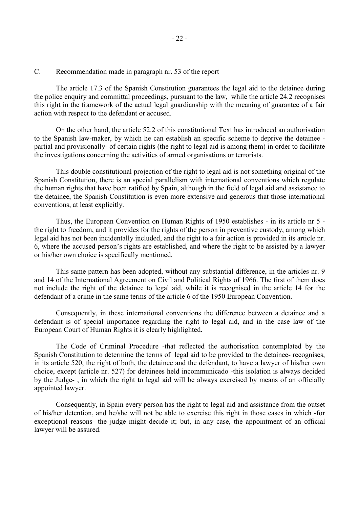## C. Recommendation made in paragraph nr. 53 of the report

 The article 17.3 of the Spanish Constitution guarantees the legal aid to the detainee during the police enquiry and committal proceedings, pursuant to the law, while the article 24.2 recognises this right in the framework of the actual legal guardianship with the meaning of guarantee of a fair action with respect to the defendant or accused.

 On the other hand, the article 52.2 of this constitutional Text has introduced an authorisation to the Spanish law-maker, by which he can establish an specific scheme to deprive the detainee partial and provisionally- of certain rights (the right to legal aid is among them) in order to facilitate the investigations concerning the activities of armed organisations or terrorists.

 This double constitutional projection of the right to legal aid is not something original of the Spanish Constitution, there is an special parallelism with international conventions which regulate the human rights that have been ratified by Spain, although in the field of legal aid and assistance to the detainee, the Spanish Constitution is even more extensive and generous that those international conventions, at least explicitly.

 Thus, the European Convention on Human Rights of 1950 establishes - in its article nr 5 the right to freedom, and it provides for the rights of the person in preventive custody, among which legal aid has not been incidentally included, and the right to a fair action is provided in its article nr. 6, where the accused person's rights are established, and where the right to be assisted by a lawyer or his/her own choice is specifically mentioned.

 This same pattern has been adopted, without any substantial difference, in the articles nr. 9 and 14 of the International Agreement on Civil and Political Rights of 1966. The first of them does not include the right of the detainee to legal aid, while it is recognised in the article 14 for the defendant of a crime in the same terms of the article 6 of the 1950 European Convention.

 Consequently, in these international conventions the difference between a detainee and a defendant is of special importance regarding the right to legal aid, and in the case law of the European Court of Human Rights it is clearly highlighted.

 The Code of Criminal Procedure -that reflected the authorisation contemplated by the Spanish Constitution to determine the terms of legal aid to be provided to the detainee- recognises, in its article 520, the right of both, the detainee and the defendant, to have a lawyer of his/her own choice, except (article nr. 527) for detainees held incommunicado -this isolation is always decided by the Judge- , in which the right to legal aid will be always exercised by means of an officially appointed lawyer.

 Consequently, in Spain every person has the right to legal aid and assistance from the outset of his/her detention, and he/she will not be able to exercise this right in those cases in which -for exceptional reasons- the judge might decide it; but, in any case, the appointment of an official lawyer will be assured.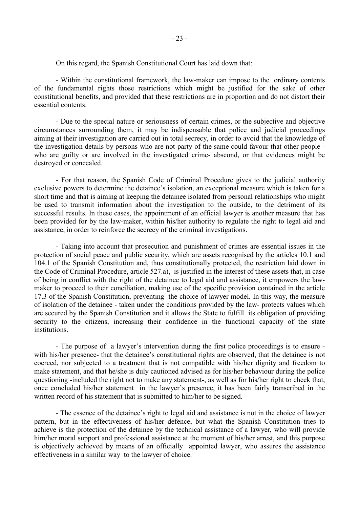On this regard, the Spanish Constitutional Court has laid down that:

 - Within the constitutional framework, the law-maker can impose to the ordinary contents of the fundamental rights those restrictions which might be justified for the sake of other constitutional benefits, and provided that these restrictions are in proportion and do not distort their essential contents.

 - Due to the special nature or seriousness of certain crimes, or the subjective and objective circumstances surrounding them, it may be indispensable that police and judicial proceedings aiming at their investigation are carried out in total secrecy, in order to avoid that the knowledge of the investigation details by persons who are not party of the same could favour that other people who are guilty or are involved in the investigated crime- abscond, or that evidences might be destroyed or concealed.

 - For that reason, the Spanish Code of Criminal Procedure gives to the judicial authority exclusive powers to determine the detainee's isolation, an exceptional measure which is taken for a short time and that is aiming at keeping the detainee isolated from personal relationships who might be used to transmit information about the investigation to the outside, to the detriment of its successful results. In these cases, the appointment of an official lawyer is another measure that has been provided for by the law-maker, within his/her authority to regulate the right to legal aid and assistance, in order to reinforce the secrecy of the criminal investigations.

 - Taking into account that prosecution and punishment of crimes are essential issues in the protection of social peace and public security, which are assets recognised by the articles 10.1 and 104.1 of the Spanish Constitution and, thus constitutionally protected, the restriction laid down in the Code of Criminal Procedure, article 527.a), is justified in the interest of these assets that, in case of being in conflict with the right of the detainee to legal aid and assistance, it empowers the lawmaker to proceed to their conciliation, making use of the specific provision contained in the article 17.3 of the Spanish Constitution, preventing the choice of lawyer model. In this way, the measure of isolation of the detainee - taken under the conditions provided by the law- protects values which are secured by the Spanish Constitution and it allows the State to fulfill its obligation of providing security to the citizens, increasing their confidence in the functional capacity of the state institutions.

 - The purpose of a lawyer's intervention during the first police proceedings is to ensure with his/her presence- that the detainee's constitutional rights are observed, that the detainee is not coerced, nor subjected to a treatment that is not compatible with his/her dignity and freedom to make statement, and that he/she is duly cautioned advised as for his/her behaviour during the police questioning -included the right not to make any statement-, as well as for his/her right to check that, once concluded his/her statement in the lawyer's presence, it has been fairly transcribed in the written record of his statement that is submitted to him/her to be signed.

 - The essence of the detainee's right to legal aid and assistance is not in the choice of lawyer pattern, but in the effectiveness of his/her defence, but what the Spanish Constitution tries to achieve is the protection of the detainee by the technical assistance of a lawyer, who will provide him/her moral support and professional assistance at the moment of his/her arrest, and this purpose is objectively achieved by means of an officially appointed lawyer, who assures the assistance effectiveness in a similar way to the lawyer of choice.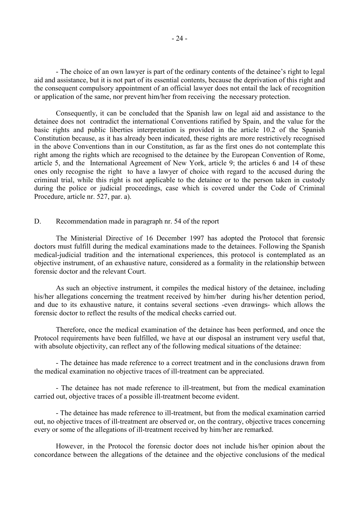- The choice of an own lawyer is part of the ordinary contents of the detainee's right to legal aid and assistance, but it is not part of its essential contents, because the deprivation of this right and the consequent compulsory appointment of an official lawyer does not entail the lack of recognition or application of the same, nor prevent him/her from receiving the necessary protection.

 Consequently, it can be concluded that the Spanish law on legal aid and assistance to the detainee does not contradict the international Conventions ratified by Spain, and the value for the basic rights and public liberties interpretation is provided in the article 10.2 of the Spanish Constitution because, as it has already been indicated, these rights are more restrictively recognised in the above Conventions than in our Constitution, as far as the first ones do not contemplate this right among the rights which are recognised to the detainee by the European Convention of Rome, article 5, and the International Agreement of New York, article 9; the articles 6 and 14 of these ones only recognise the right to have a lawyer of choice with regard to the accused during the criminal trial, while this right is not applicable to the detainee or to the person taken in custody during the police or judicial proceedings, case which is covered under the Code of Criminal Procedure, article nr. 527, par. a).

## D. Recommendation made in paragraph nr. 54 of the report

 The Ministerial Directive of 16 December 1997 has adopted the Protocol that forensic doctors must fulfill during the medical examinations made to the detainees. Following the Spanish medical-judicial tradition and the international experiences, this protocol is contemplated as an objective instrument, of an exhaustive nature, considered as a formality in the relationship between forensic doctor and the relevant Court.

 As such an objective instrument, it compiles the medical history of the detainee, including his/her allegations concerning the treatment received by him/her during his/her detention period, and due to its exhaustive nature, it contains several sections -even drawings- which allows the forensic doctor to reflect the results of the medical checks carried out.

 Therefore, once the medical examination of the detainee has been performed, and once the Protocol requirements have been fulfilled, we have at our disposal an instrument very useful that, with absolute objectivity, can reflect any of the following medical situations of the detainee:

 - The detainee has made reference to a correct treatment and in the conclusions drawn from the medical examination no objective traces of ill-treatment can be appreciated.

 - The detainee has not made reference to ill-treatment, but from the medical examination carried out, objective traces of a possible ill-treatment become evident.

 - The detainee has made reference to ill-treatment, but from the medical examination carried out, no objective traces of ill-treatment are observed or, on the contrary, objective traces concerning every or some of the allegations of ill-treatment received by him/her are remarked.

 However, in the Protocol the forensic doctor does not include his/her opinion about the concordance between the allegations of the detainee and the objective conclusions of the medical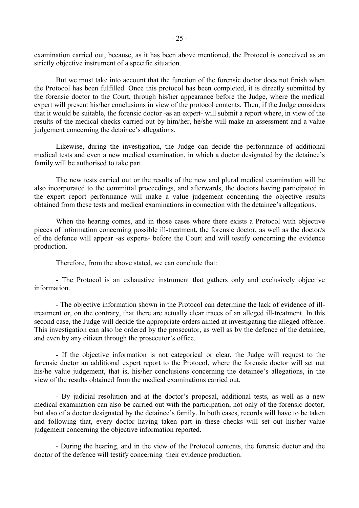examination carried out, because, as it has been above mentioned, the Protocol is conceived as an strictly objective instrument of a specific situation.

 But we must take into account that the function of the forensic doctor does not finish when the Protocol has been fulfilled. Once this protocol has been completed, it is directly submitted by the forensic doctor to the Court, through his/her appearance before the Judge, where the medical expert will present his/her conclusions in view of the protocol contents. Then, if the Judge considers that it would be suitable, the forensic doctor -as an expert- will submit a report where, in view of the results of the medical checks carried out by him/her, he/she will make an assessment and a value judgement concerning the detainee's allegations.

 Likewise, during the investigation, the Judge can decide the performance of additional medical tests and even a new medical examination, in which a doctor designated by the detainee's family will be authorised to take part.

 The new tests carried out or the results of the new and plural medical examination will be also incorporated to the committal proceedings, and afterwards, the doctors having participated in the expert report performance will make a value judgement concerning the objective results obtained from these tests and medical examinations in connection with the detainee's allegations.

 When the hearing comes, and in those cases where there exists a Protocol with objective pieces of information concerning possible ill-treatment, the forensic doctor, as well as the doctor/s of the defence will appear -as experts- before the Court and will testify concerning the evidence production.

Therefore, from the above stated, we can conclude that:

 - The Protocol is an exhaustive instrument that gathers only and exclusively objective information.

 - The objective information shown in the Protocol can determine the lack of evidence of illtreatment or, on the contrary, that there are actually clear traces of an alleged ill-treatment. In this second case, the Judge will decide the appropriate orders aimed at investigating the alleged offence. This investigation can also be ordered by the prosecutor, as well as by the defence of the detainee, and even by any citizen through the prosecutor's office.

 - If the objective information is not categorical or clear, the Judge will request to the forensic doctor an additional expert report to the Protocol, where the forensic doctor will set out his/he value judgement, that is, his/her conclusions concerning the detainee's allegations, in the view of the results obtained from the medical examinations carried out.

 - By judicial resolution and at the doctor's proposal, additional tests, as well as a new medical examination can also be carried out with the participation, not only of the forensic doctor, but also of a doctor designated by the detainee's family. In both cases, records will have to be taken and following that, every doctor having taken part in these checks will set out his/her value judgement concerning the objective information reported.

 - During the hearing, and in the view of the Protocol contents, the forensic doctor and the doctor of the defence will testify concerning their evidence production.